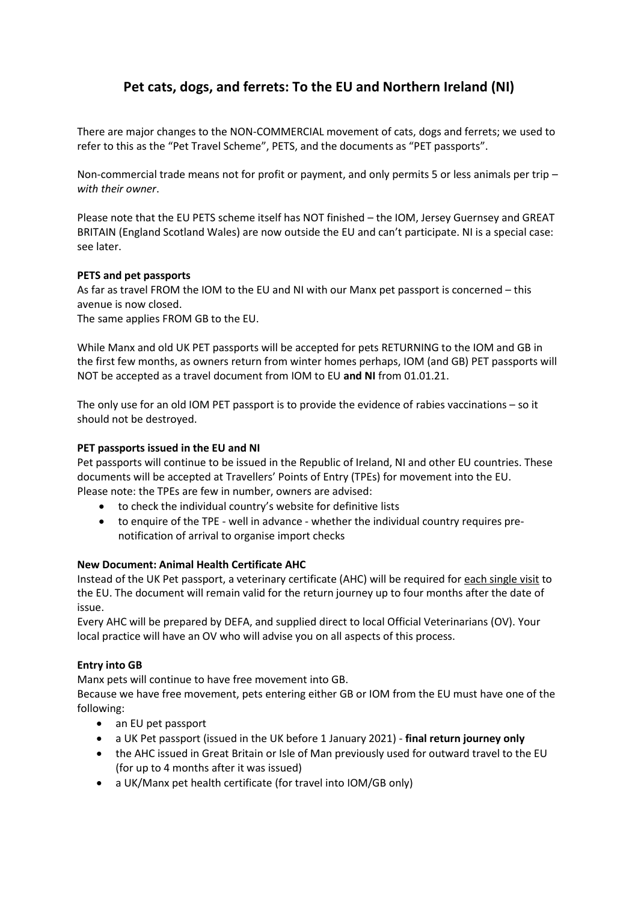# **Pet cats, dogs, and ferrets: To the EU and Northern Ireland (NI)**

There are major changes to the NON-COMMERCIAL movement of cats, dogs and ferrets; we used to refer to this as the "Pet Travel Scheme", PETS, and the documents as "PET passports".

Non-commercial trade means not for profit or payment, and only permits 5 or less animals per trip – *with their owner*.

Please note that the EU PETS scheme itself has NOT finished – the IOM, Jersey Guernsey and GREAT BRITAIN (England Scotland Wales) are now outside the EU and can't participate. NI is a special case: see later.

# **PETS and pet passports**

As far as travel FROM the IOM to the EU and NI with our Manx pet passport is concerned – this avenue is now closed.

The same applies FROM GB to the EU.

While Manx and old UK PET passports will be accepted for pets RETURNING to the IOM and GB in the first few months, as owners return from winter homes perhaps, IOM (and GB) PET passports will NOT be accepted as a travel document from IOM to EU **and NI** from 01.01.21.

The only use for an old IOM PET passport is to provide the evidence of rabies vaccinations – so it should not be destroyed.

## **PET passports issued in the EU and NI**

Pet passports will continue to be issued in the Republic of Ireland, NI and other EU countries. These documents will be accepted at Travellers' Points of Entry (TPEs) for movement into the EU. Please note: the TPEs are few in number, owners are advised:

- to check the individual country's website for definitive lists
- to enquire of the TPE well in advance whether the individual country requires prenotification of arrival to organise import checks

#### **New Document: Animal Health Certificate AHC**

Instead of the UK Pet passport, a veterinary certificate (AHC) will be required for each single visit to the EU. The document will remain valid for the return journey up to four months after the date of issue.

Every AHC will be prepared by DEFA, and supplied direct to local Official Veterinarians (OV). Your local practice will have an OV who will advise you on all aspects of this process.

#### **Entry into GB**

Manx pets will continue to have free movement into GB.

Because we have free movement, pets entering either GB or IOM from the EU must have one of the following:

- an EU pet passport
- a UK Pet passport (issued in the UK before 1 January 2021) **final return journey only**
- the AHC issued in Great Britain or Isle of Man previously used for outward travel to the EU (for up to 4 months after it was issued)
- a UK/Manx pet health certificate (for travel into IOM/GB only)